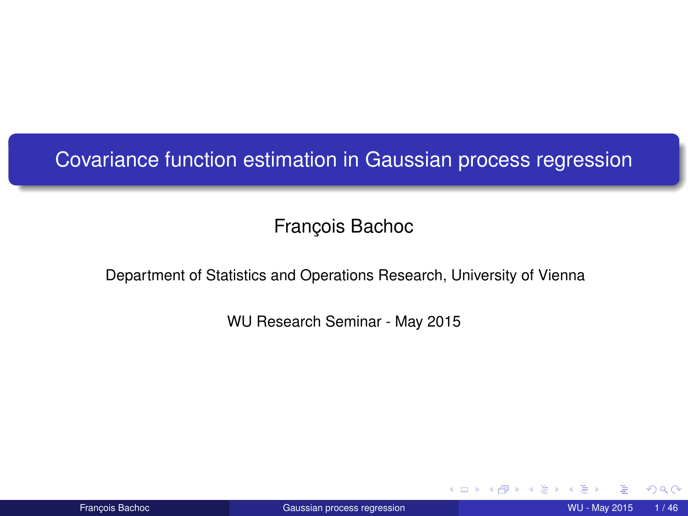<span id="page-0-0"></span>Covariance function estimation in Gaussian process regression

François Bachoc

Department of Statistics and Operations Research, University of Vienna

WU Research Seminar - May 2015

4 0 8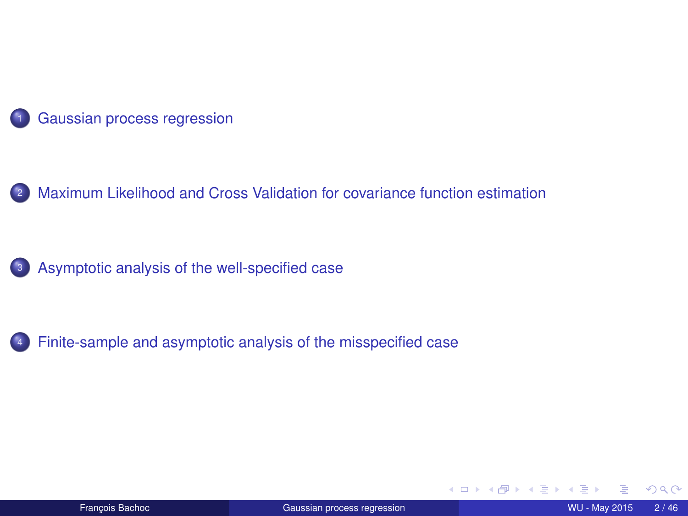

2 [Maximum Likelihood and Cross Validation for covariance function estimation](#page-10-0)



<sup>4</sup> [Finite-sample and asymptotic analysis of the misspecified case](#page-23-0)

4 0 8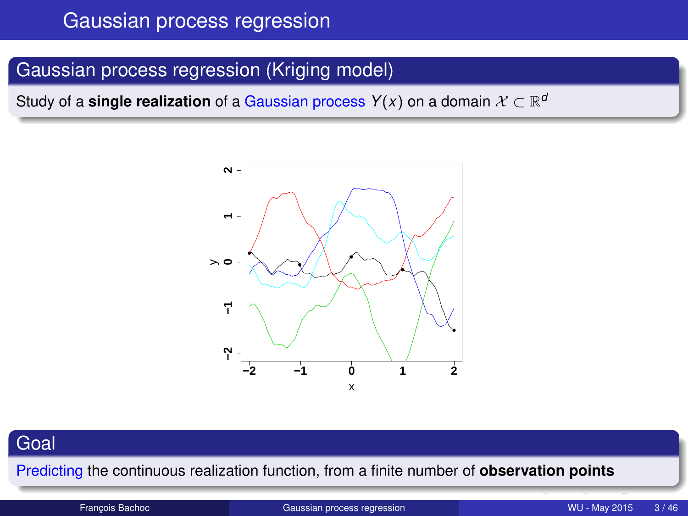### <span id="page-2-0"></span>Gaussian process regression (Kriging model)

Study of a **single realization** of a Gaussian process  $Y(x)$  on a domain  $\mathcal{X} \subset \mathbb{R}^d$ 



#### **Goal**

Predicting the continuous realization function, from a finite number of **observation points**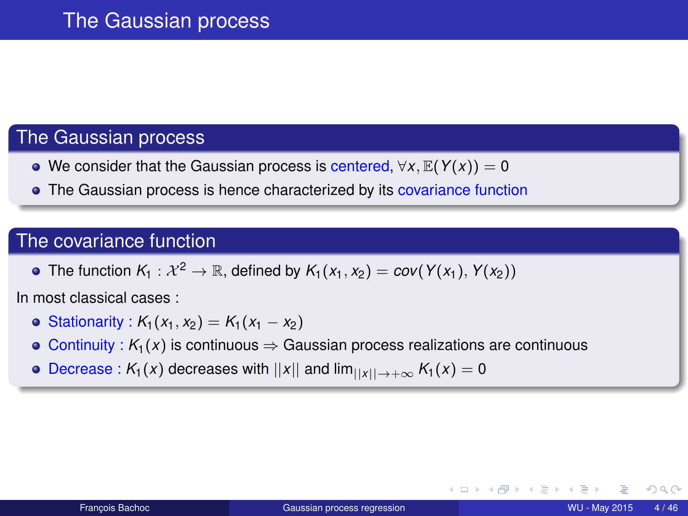#### The Gaussian process

- We consider that the Gaussian process is centered, ∀*x*, E(*Y*(*x*)) = 0
- The Gaussian process is hence characterized by its covariance function

#### The covariance function

• The function  $K_1 : \mathcal{X}^2 \to \mathbb{R}$ , defined by  $K_1(x_1, x_2) = \text{cov}(Y(x_1), Y(x_2))$ 

In most classical cases :

- $\bullet$  Stationarity : *K*<sub>1</sub>(*x*<sub>1</sub>, *x*<sub>2</sub>) = *K*<sub>1</sub>(*x*<sub>1</sub> − *x*<sub>2</sub>)
- $\circ$  Continuity :  $K_1(x)$  is continuous  $\Rightarrow$  Gaussian process realizations are continuous
- $\bullet$  Decrease :  $K_1(x)$  decreases with  $||x||$  and  $\lim_{||x|| \to +\infty} K_1(x) = 0$

 $QQ$ 

メモドメモド

◂**◻▸ ◂<del>╓</del>▸**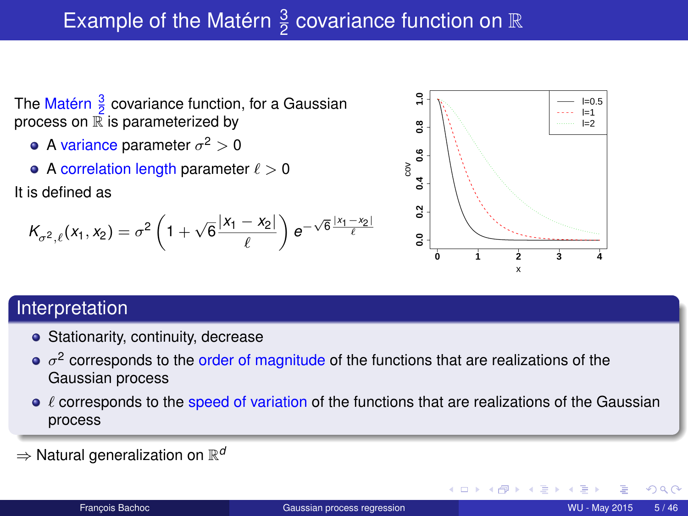# Example of the Matérn  $\frac{3}{2}$  covariance function on  $\mathbb R$

- The Matérn  $\frac{3}{2}$  covariance function, for a Gaussian process on  $\mathbb R$  is parameterized by
	- A variance parameter  $\sigma^2>0$
	- A correlation length parameter  $\ell > 0$

It is defined as

$$
K_{\sigma^2,\ell}(x_1,x_2)=\sigma^2\left(1+\sqrt{6}\frac{|x_1-x_2|}{\ell}\right)e^{-\sqrt{6}\frac{|x_1-x_2|}{\ell}}
$$



#### Interpretation

- Stationarity, continuity, decrease
- $\sigma^2$  corresponds to the order of magnitude of the functions that are realizations of the Gaussian process
- $\bullet$   $\ell$  corresponds to the speed of variation of the functions that are realizations of the Gaussian process
- $\Rightarrow$  Natural generalization on  $\mathbb{R}^d$

つへへ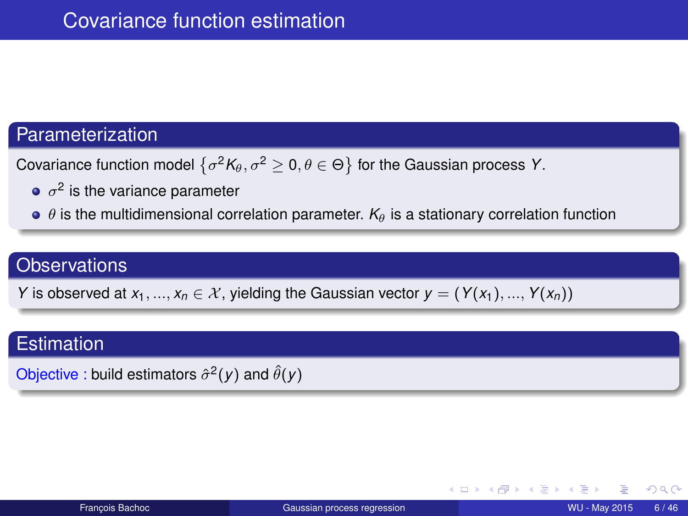#### Parameterization

Covariance function model  $\left\{ \sigma^2 {\mathcal K}_{\theta}, \sigma^2 \geq 0, \theta \in \Theta \right\}$  for the Gaussian process Y.

- $\sigma^2$  is the variance parameter
- $\theta$  is the multidimensional correlation parameter.  $K_{\theta}$  is a stationary correlation function

#### **Observations**

*Y* is observed at  $x_1, ..., x_n \in \mathcal{X}$ , yielding the Gaussian vector  $y = (Y(x_1), ..., Y(x_n))$ 

#### **Estimation**

Objective : build estimators  $\hat{\sigma}^2(y)$  and  $\hat{\theta}(y)$ 

∢ □ ▶ ∢ <sup>□</sup>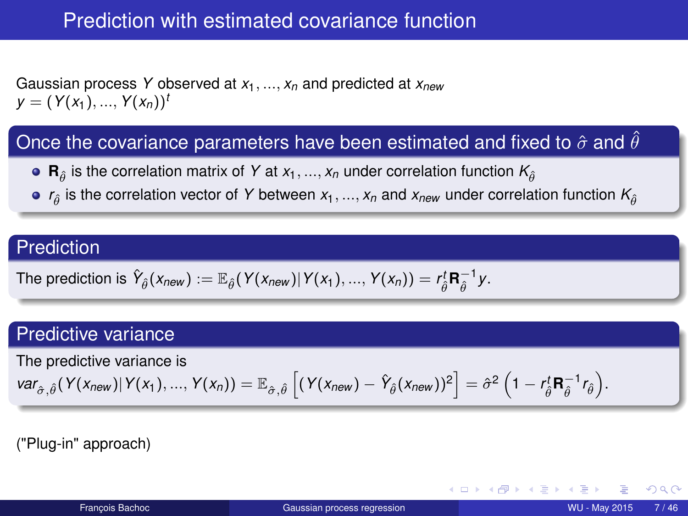# Prediction with estimated covariance function

Gaussian process *Y* observed at *x*1, ..., *x<sup>n</sup>* and predicted at *xnew*  $y = (Y(x_1), ..., Y(x_n))^t$ 

#### Once the covariance parameters have been estimated and fixed to  $\hat{\sigma}$  and  $\hat{\theta}$

- **R**<sub> $\hat{\theta}$ </sub> is the correlation matrix of *Y* at  $x_1, ..., x_n$  under correlation function  $K_{\hat{\theta}}$
- $r_{\hat{\theta}}$  is the correlation vector of *Y* between  $x_1,...,x_n$  and  $x_{new}$  under correlation function  $K_{\hat{\theta}}$

#### Prediction

The prediction is 
$$
\hat{Y}_{\hat{\theta}}(x_{new}) := \mathbb{E}_{\hat{\theta}}(Y(x_{new}) | Y(x_1), ..., Y(x_n)) = r_{\hat{\theta}}^t \mathbf{R}_{\hat{\theta}}^{-1} y
$$
.

#### Predictive variance

The predictive variance is

$$
var_{\hat{\sigma},\hat{\theta}}(Y(x_{new})|Y(x_1),...,Y(x_n)) = \mathbb{E}_{\hat{\sigma},\hat{\theta}}\left[(Y(x_{new}) - \hat{Y}_{\hat{\theta}}(x_{new}))^2\right] = \hat{\sigma}^2\left(1 - r_{\hat{\theta}}^1 \mathbf{R}_{\hat{\theta}}^{-1} r_{\hat{\theta}}\right).
$$

("Plug-in" approach)

∢ □ ▶ ∢ <sup>□</sup>

 $\Omega$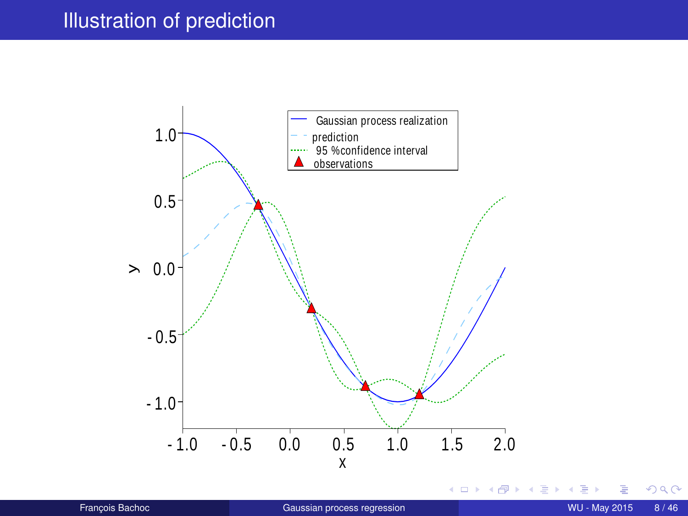### Illustration of prediction



 $299$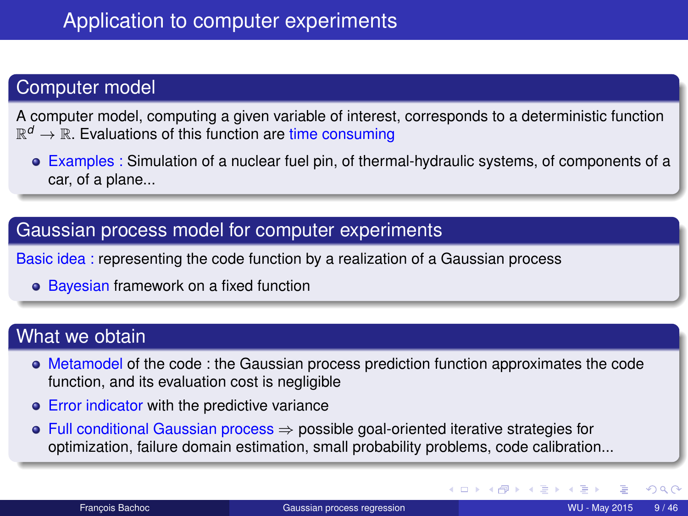### Computer model

A computer model, computing a given variable of interest, corresponds to a deterministic function  $\mathbb{R}^d \to \mathbb{R}$ . Evaluations of this function are time consuming

Examples : Simulation of a nuclear fuel pin, of thermal-hydraulic systems, of components of a car, of a plane...

#### Gaussian process model for computer experiments

Basic idea : representing the code function by a realization of a Gaussian process

• Bayesian framework on a fixed function

#### What we obtain

- Metamodel of the code : the Gaussian process prediction function approximates the code function, and its evaluation cost is negligible
- **Error indicator with the predictive variance**
- Full conditional Gaussian process ⇒ possible goal-oriented iterative strategies for optimization, failure domain estimation, small probability problems, code calibration...

 $QQ$ 

イロト イ母 トイヨ トイヨ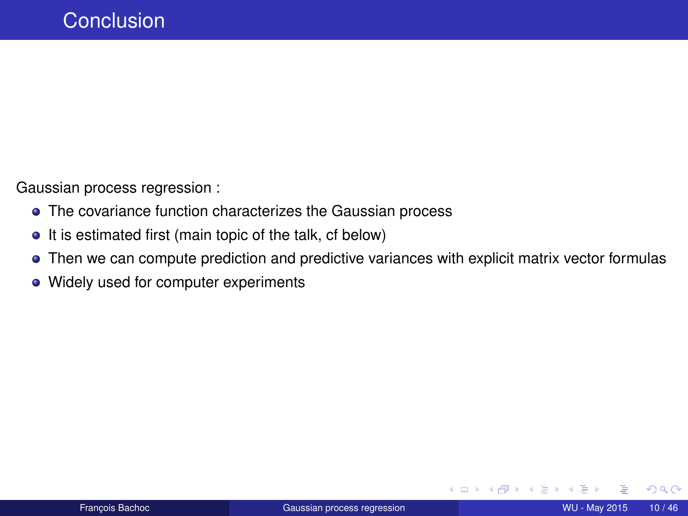Gaussian process regression :

- The covariance function characterizes the Gaussian process
- It is estimated first (main topic of the talk, cf below)
- Then we can compute prediction and predictive variances with explicit matrix vector formulas
- Widely used for computer experiments

Э×

 $QQQ$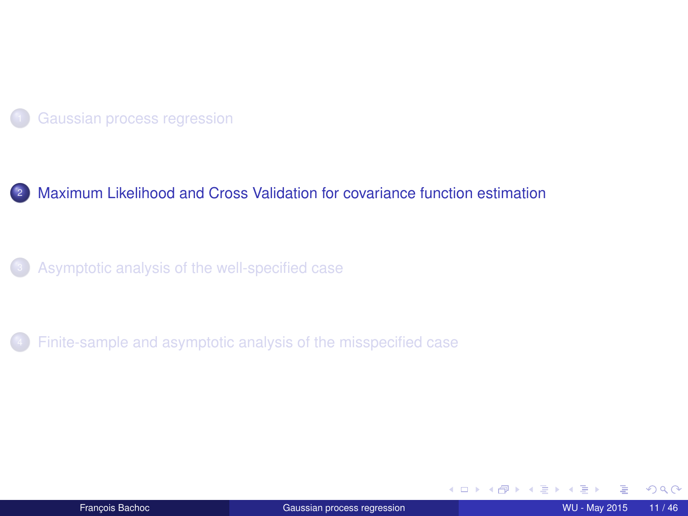<span id="page-10-0"></span>

#### 2 [Maximum Likelihood and Cross Validation for covariance function estimation](#page-10-0)

[Asymptotic analysis of the well-specified case](#page-14-0)

[Finite-sample and asymptotic analysis of the misspecified case](#page-23-0)

(ロ) ( d )

**B** K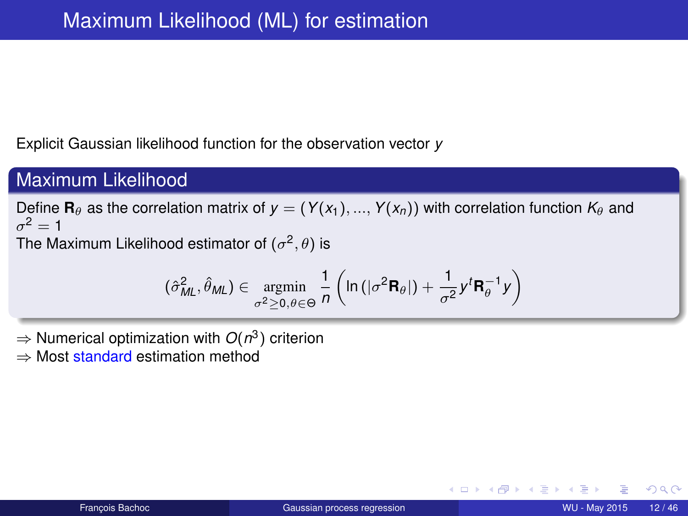Explicit Gaussian likelihood function for the observation vector *y*

### Maximum Likelihood

Define **R**<sub>θ</sub> as the correlation matrix of  $y = (Y(x_1), ..., Y(x_n))$  with correlation function  $K_\theta$  and  $\sigma^2=1$ 

The Maximum Likelihood estimator of  $(\sigma^2,\theta)$  is

$$
(\hat{\sigma}_{ML}^2, \hat{\theta}_{ML}) \in \operatornamewithlimits{argmin}_{\sigma^2 \geq 0, \theta \in \Theta} \frac{1}{n} \left( \ln \left( |\sigma^2 \mathbf{R}_\theta| \right) + \frac{1}{\sigma^2} y^t \mathbf{R}_\theta^{-1} y \right)
$$

- ⇒ Numerical optimization with *O*(*n* 3 ) criterion
- ⇒ Most standard estimation method

4 0 8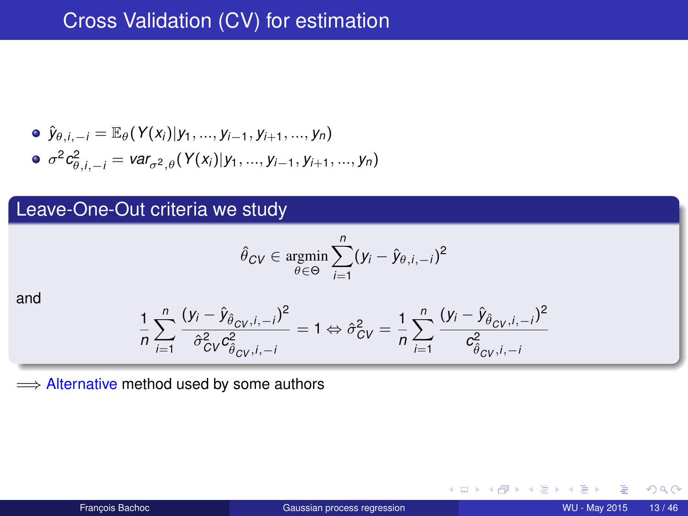\n- \n
$$
\hat{y}_{\theta,i,-i} = \mathbb{E}_{\theta}(Y(x_i)|y_1, \ldots, y_{i-1}, y_{i+1}, \ldots, y_n)
$$
\n
\n- \n $\sigma^2 c_{\theta,i,-i}^2 = \text{var}_{\sigma^2,\theta}(Y(x_i)|y_1, \ldots, y_{i-1}, y_{i+1}, \ldots, y_n)$ \n
\n

### Leave-One-Out criteria we study

$$
\hat{\theta}_{CV} \in \operatornamewithlimits{argmin}_{\theta \in \Theta} \sum_{i=1}^n (y_i - \hat{y}_{\theta, i, -i})^2
$$

and

$$
\frac{1}{n}\sum_{i=1}^{n}\frac{(y_i - \hat{y}_{\hat{\theta}_{CV},i,-i})^2}{\hat{\sigma}_{CV}^2c_{\hat{\theta}_{CV},i,-i}^2} = 1 \Leftrightarrow \hat{\sigma}_{CV}^2 = \frac{1}{n}\sum_{i=1}^{n}\frac{(y_i - \hat{y}_{\hat{\theta}_{CV},i,-i})^2}{c_{\hat{\theta}_{CV},i,-i}^2}
$$

 $\implies$  **Alternative method used by some authors** 

← ロ ▶ → 伊

**B**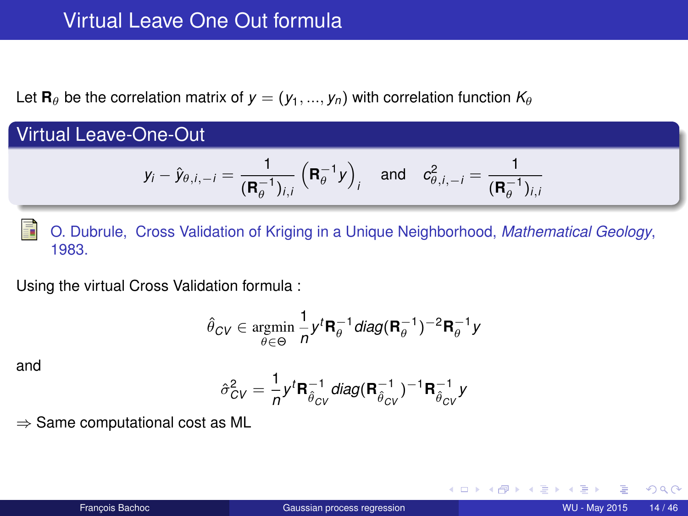### Virtual Leave One Out formula

Let **R**<sub>θ</sub> be the correlation matrix of  $y = (y_1, ..., y_n)$  with correlation function  $K_\theta$ 

Virtual Leave-One-Out

$$
y_i - \hat{y}_{\theta,i,-i} = \frac{1}{(\mathbf{R}_{\theta}^{-1})_{i,i}} (\mathbf{R}_{\theta}^{-1} y)_{i} \text{ and } c^2_{\theta,i,-i} = \frac{1}{(\mathbf{R}_{\theta}^{-1})_{i,i}}
$$

F O. Dubrule, Cross Validation of Kriging in a Unique Neighborhood, *Mathematical Geology*, 1983.

Using the virtual Cross Validation formula :

$$
\hat{\theta}_{CV} \in \mathop{\rm argmin}_{\theta \in \Theta} \frac{1}{n} y^t \mathbf{R}_{\theta}^{-1} \textit{diag}(\mathbf{R}_{\theta}^{-1})^{-2} \mathbf{R}_{\theta}^{-1} y
$$

and

$$
\hat{\sigma}_{CV}^2 = \frac{1}{n} y^t \mathbf{R}_{\hat{\theta}_{CV}}^{-1} diag(\mathbf{R}_{\hat{\theta}_{CV}}^{-1})^{-1} \mathbf{R}_{\hat{\theta}_{CV}}^{-1} y
$$

 $\Rightarrow$  Same computational cost as ML

 $2Q$ 

化重新分量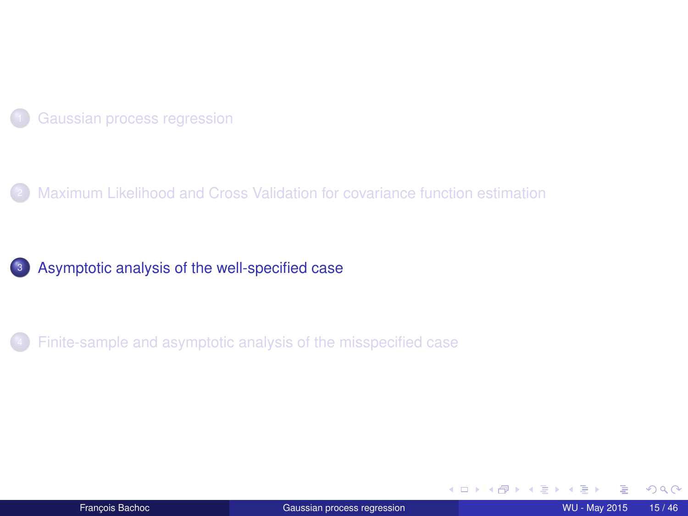<span id="page-14-0"></span>

[Maximum Likelihood and Cross Validation for covariance function estimation](#page-10-0)



[Finite-sample and asymptotic analysis of the misspecified case](#page-23-0)

(ロ) ( d) × ∋⇒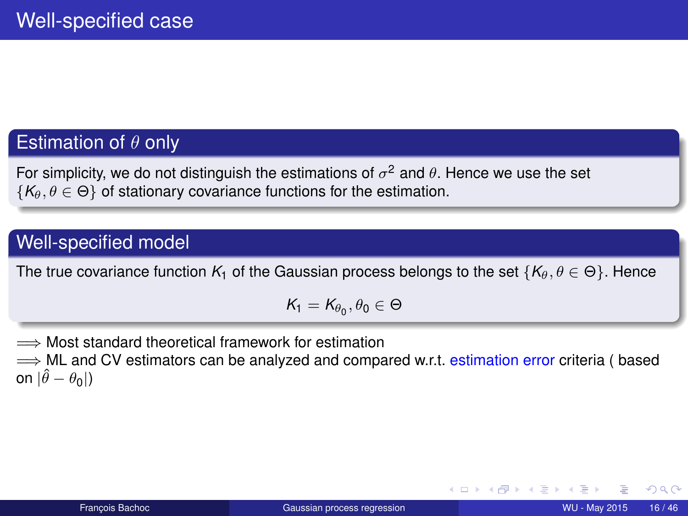### Estimation of  $\theta$  only

For simplicity, we do not distinguish the estimations of  $\sigma^2$  and  $\theta$ . Hence we use the set  $\{K_{\theta}, \theta \in \Theta\}$  of stationary covariance functions for the estimation.

#### Well-specified model

The true covariance function  $K_1$  of the Gaussian process belongs to the set  $\{K_\theta, \theta \in \Theta\}$ . Hence

$$
\mathcal{K}_1=\mathcal{K}_{\theta_0},\theta_0\in\Theta
$$

=⇒ Most standard theoretical framework for estimation

 $\implies$  ML and CV estimators can be analyzed and compared w.r.t. estimation error criteria ( based on  $|\hat{\theta} - \theta_0|$ )

(□ ) (f)

4 B F 4 B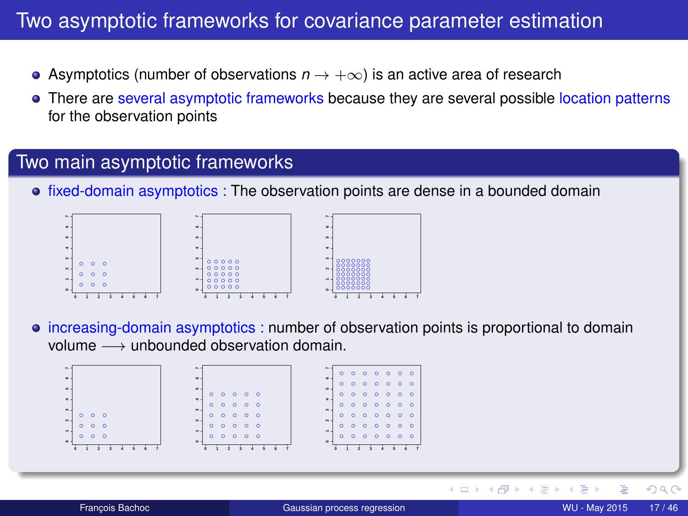### Two asymptotic frameworks for covariance parameter estimation

- Asymptotics (number of observations *n* → +∞) is an active area of research
- There are several asymptotic frameworks because they are several possible location patterns for the observation points

#### Two main asymptotic frameworks

**•** fixed-domain asymptotics : The observation points are dense in a bounded domain



 $\bullet$  increasing-domain asymptotics : number of observation points is proportional to domain volume  $→$  unbounded observation domain.



4 0 8 ৰ লী  $\Omega$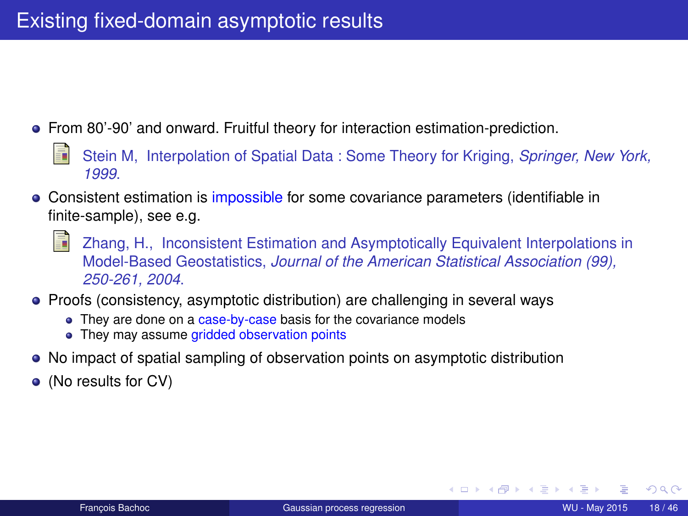- From 80'-90' and onward. Fruitful theory for interaction estimation-prediction.
	- Stein M, Interpolation of Spatial Data : Some Theory for Kriging, *Springer, New York, 1999*.
- Consistent estimation is impossible for some covariance parameters (identifiable in finite-sample), see e.g.
	- Zhang, H., Inconsistent Estimation and Asymptotically Equivalent Interpolations in Model-Based Geostatistics, *Journal of the American Statistical Association (99), 250-261, 2004*.
- Proofs (consistency, asymptotic distribution) are challenging in several ways
	- They are done on a case-by-case basis for the covariance models
	- They may assume gridded observation points
- No impact of spatial sampling of observation points on asymptotic distribution
- (No results for CV)

(□ ) (f)

De la Car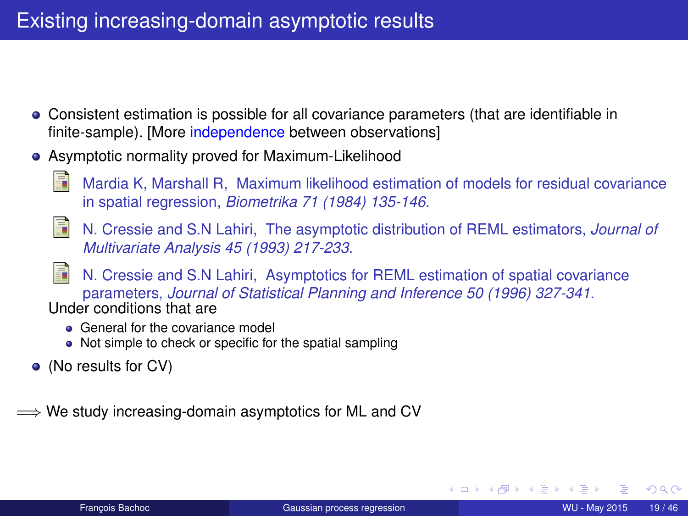### Existing increasing-domain asymptotic results

- Consistent estimation is possible for all covariance parameters (that are identifiable in finite-sample). [More independence between observations]
- Asymptotic normality proved for Maximum-Likelihood
	-
- Mardia K, Marshall R, Maximum likelihood estimation of models for residual covariance in spatial regression, *Biometrika 71 (1984) 135-146*.
- N. Cressie and S.N Lahiri, The asymptotic distribution of REML estimators, *Journal of Multivariate Analysis 45 (1993) 217-233*.
- N. Cressie and S.N Lahiri, Asymptotics for REML estimation of spatial covariance parameters, *Journal of Statistical Planning and Inference 50 (1996) 327-341*. Under conditions that are
	- **General for the covariance model**
	- Not simple to check or specific for the spatial sampling
- (No results for CV)
- $\Longrightarrow$  We study increasing-domain asymptotics for ML and CV

(□ ) (f)

化重 经收回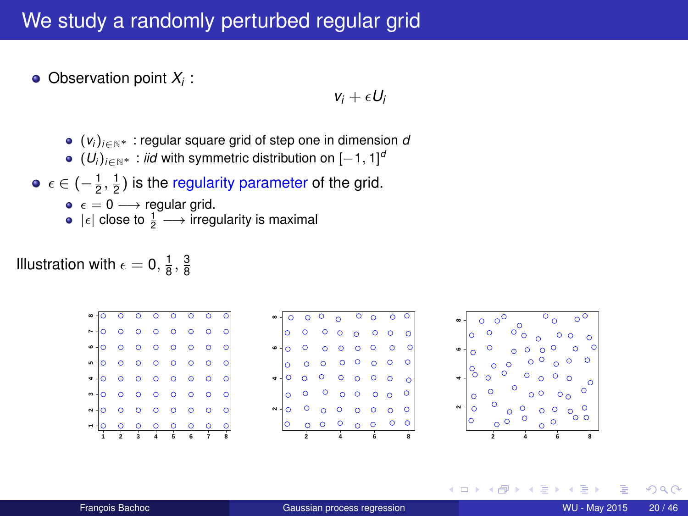### We study a randomly perturbed regular grid

Observation point *X<sup>i</sup>* :

 $v_i + \epsilon U_i$ 

- (*v<sup>i</sup>* )*i*∈N<sup>∗</sup> : regular square grid of step one in dimension *d*
- $(U_i)_{i \in \mathbb{N}^*}$ : *iid* with symmetric distribution on  $[-1, 1]^d$
- $\epsilon \in \left(-\frac{1}{2},\frac{1}{2}\right)$  is the regularity parameter of the grid.
	- $\bullet \epsilon = 0 \longrightarrow$  regular grid.
	- $|\epsilon|$  close to  $\frac{1}{2} \longrightarrow$  irregularity is maximal

Illustration with  $\epsilon = 0, \frac{1}{8}, \frac{3}{8}$ 

|  | $\begin{array}{ccccccccccccccccc} \circ & \circ & \circ & \circ & \circ & \circ & \circ \end{array}$ |  |  |         |
|--|------------------------------------------------------------------------------------------------------|--|--|---------|
|  | N-0 0 0 0 0 0 0                                                                                      |  |  | $\circ$ |
|  | •• <b>0000000</b>                                                                                    |  |  |         |
|  |                                                                                                      |  |  |         |
|  | •• 0000000                                                                                           |  |  |         |
|  |                                                                                                      |  |  |         |
|  |                                                                                                      |  |  |         |
|  | • <mark>• • • • • • • • •</mark>                                                                     |  |  |         |

|          |  | $\begin{array}{ccccccccccccccccc} \circ & \circ & \circ & \circ & \circ & \circ & \circ & \circ \end{array}$                |                |         |
|----------|--|-----------------------------------------------------------------------------------------------------------------------------|----------------|---------|
|          |  |                                                                                                                             |                |         |
| $\sim$ 1 |  |                                                                                                                             | ō              | $\circ$ |
|          |  | $\begin{array}{ccccccccc}\n\circ & \circ & \circ & \circ & \circ \\ \circ & \circ & \circ & \circ & \circ \\ \end{array}$   | 0 <sub>0</sub> | $\circ$ |
| -10      |  |                                                                                                                             |                |         |
|          |  |                                                                                                                             |                |         |
| ۰۱       |  |                                                                                                                             |                |         |
|          |  | $\begin{bmatrix} 0 & 0 & 0 & 0 & 0 & 0 & 0 \\ 0 & 0 & 0 & 0 & 0 & 0 & 0 & 0 \\ 0 & 0 & 0 & 0 & 0 & 0 & 0 & 0 \end{bmatrix}$ |                |         |
|          |  |                                                                                                                             |                |         |



4 0 8

つへへ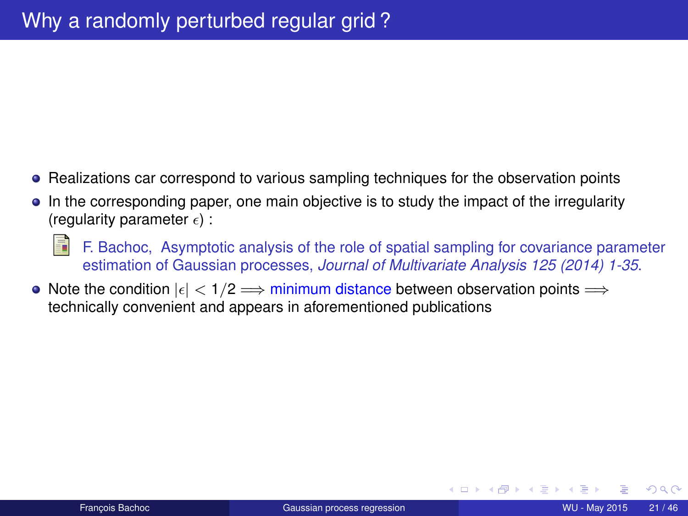- Realizations car correspond to various sampling techniques for the observation points
- In the corresponding paper, one main objective is to study the impact of the irregularity (regularity parameter  $\epsilon$ ) :
	- F. Bachoc, Asymptotic analysis of the role of spatial sampling for covariance parameter estimation of Gaussian processes, *Journal of Multivariate Analysis 125 (2014) 1-35*.
- Note the condition  $|\epsilon| < 1/2 \implies$  minimum distance between observation points  $\implies$ technically convenient and appears in aforementioned publications

(□ ) (f)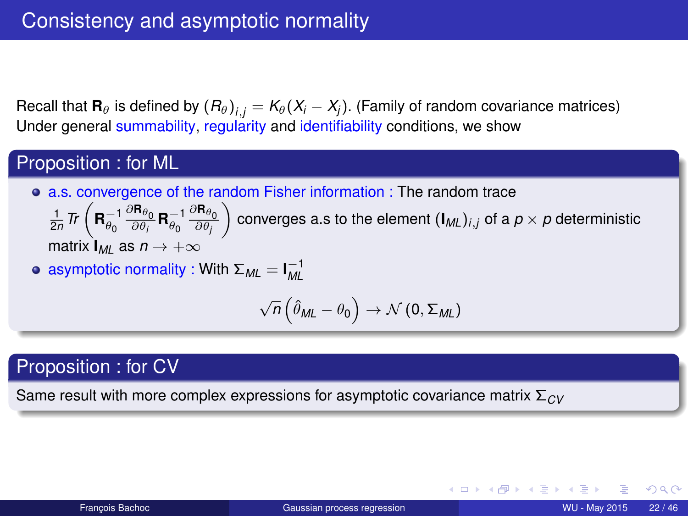Recall that  $\mathbf{R}_{\theta}$  is defined by  $(R_{\theta})_{i,j}=K_{\theta}(X_i-X_j).$  (Family of random covariance matrices) Under general summability, regularity and identifiability conditions, we show

#### Proposition : for ML

a.s. convergence of the random Fisher information : The random trace

 $\frac{1}{2n}$   $\textit{Tr}\left(\mathbf{R}_{\theta_{0}}^{-1}\frac{\partial\mathbf{R}_{\theta_{0}}}{\partial\theta_{i}}\mathbf{R}_{\theta_{0}}^{-1}\frac{\partial\mathbf{R}_{\theta_{0}}}{\partial\theta_{j}}\right)$  $\Big)$  converges a.s to the element  $(\mathbf{I}_{ML})_{i,j}$  of a  $p\times p$  deterministic matrix  $I_{ML}$  as  $n \rightarrow +\infty$ 

• asymptotic normality : With 
$$
\Sigma_{ML} = I_{ML}^{-1}
$$

$$
\sqrt{n}\left(\hat{\theta}_{ML}-\theta_0\right)\rightarrow\mathcal{N}\left(0,\Sigma_{ML}\right)
$$

#### Proposition : for CV

Same result with more complex expressions for asymptotic covariance matrix Σ*CV*

つくい

K ロ ▶ K 御 ▶ K 君 ▶ K 君 ▶ │ 君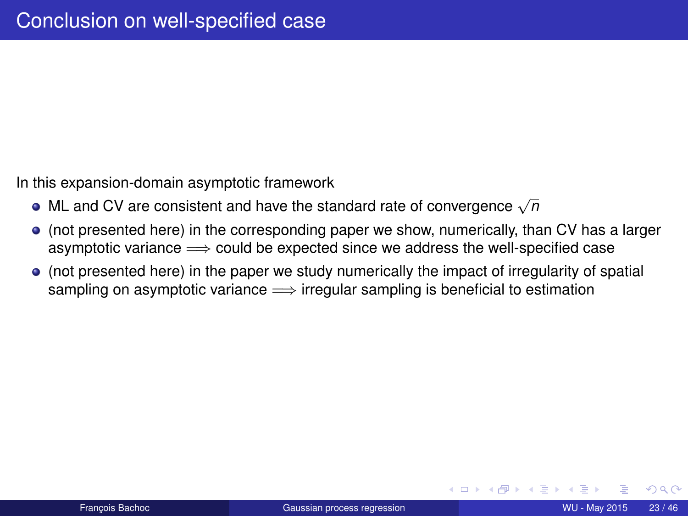In this expansion-domain asymptotic framework

- ML and CV are consistent and have the standard rate of convergence <sup>√</sup> *n*
- (not presented here) in the corresponding paper we show, numerically, than CV has a larger asymptotic variance  $\Longrightarrow$  could be expected since we address the well-specified case
- (not presented here) in the paper we study numerically the impact of irregularity of spatial sampling on asymptotic variance  $\Longrightarrow$  irregular sampling is beneficial to estimation

∢ □ ▶ ∢ <sup>□</sup>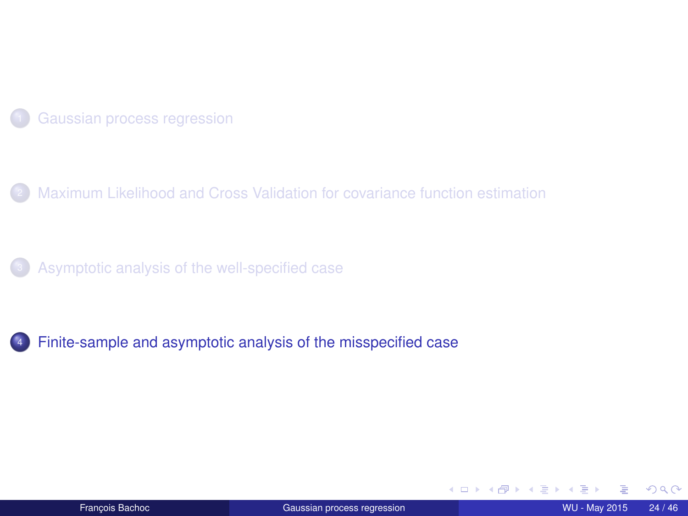<span id="page-23-0"></span>

[Maximum Likelihood and Cross Validation for covariance function estimation](#page-10-0)

[Asymptotic analysis of the well-specified case](#page-14-0)

[Finite-sample and asymptotic analysis of the misspecified case](#page-23-0)

(ロ) ( d) × ∋⇒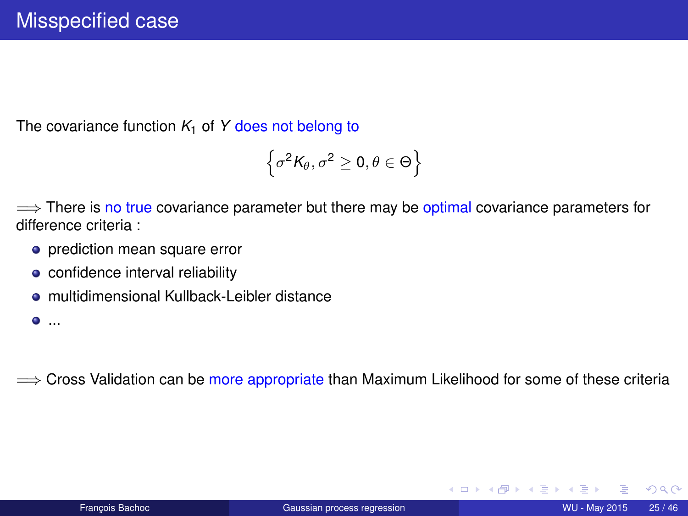The covariance function  $K_1$  of Y does not belong to

$$
\left\{\sigma^2\mathsf{K}_{\theta},\sigma^2\geq 0,\theta\in\Theta\right\}
$$

 $\implies$  There is no true covariance parameter but there may be optimal covariance parameters for difference criteria :

- prediction mean square error
- confidence interval reliability
- **e** multidimensional Kullback-Leibler distance

...

 $\implies$  Cross Validation can be more appropriate than Maximum Likelihood for some of these criteria

化重新化重新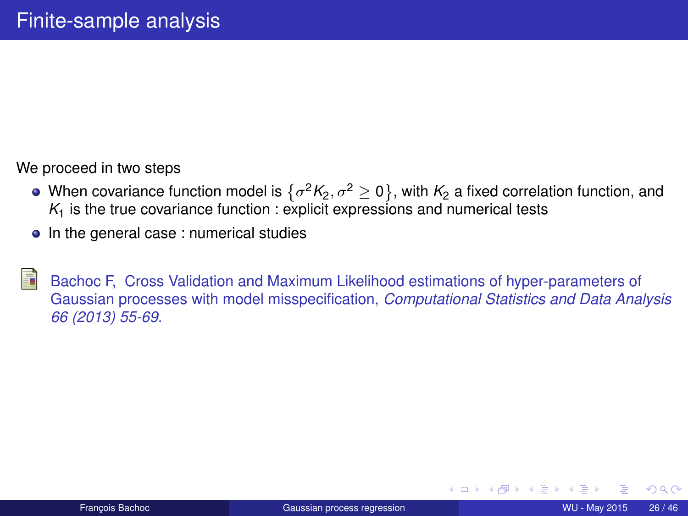We proceed in two steps

- When covariance function model is  $\{\sigma^2{\sf K}_2,\sigma^2\ge 0\}$ , with  ${\sf K}_2$  a fixed correlation function, and  $K<sub>1</sub>$  is the true covariance function : explicit expressions and numerical tests
- In the general case : numerical studies

Bachoc F, Cross Validation and Maximum Likelihood estimations of hyper-parameters of Gaussian processes with model misspecification, *Computational Statistics and Data Analysis 66 (2013) 55-69*.

4 0 8 4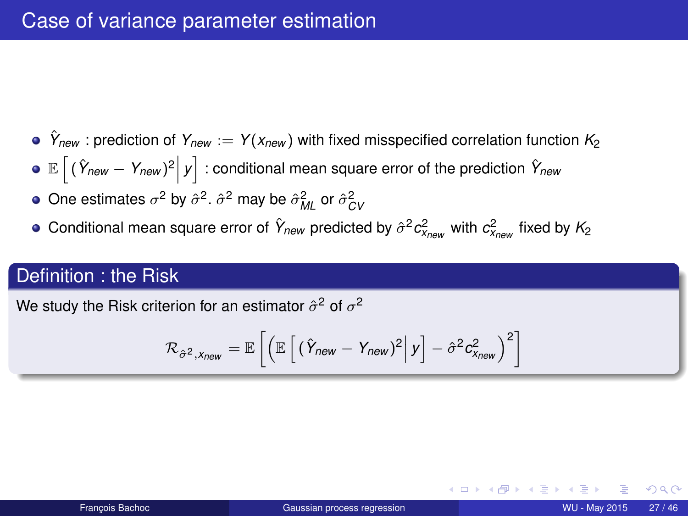### Case of variance parameter estimation

- $\hat{Y}_{new}$ : prediction of  $Y_{new} := Y(x_{new})$  with fixed misspecified correlation function  $K_2$
- $\mathbb{E}\left[\left(\hat{Y}_{\textit{new}} Y_{\textit{new}}\right)^2 \middle| y\right]$  : conditional mean square error of the prediction  $\hat{Y}_{\textit{new}}$
- One estimates  $\sigma^2$  by  $\hat{\sigma}^2$ .  $\hat{\sigma}^2$  may be  $\hat{\sigma}_{ML}^2$  or  $\hat{\sigma}_{CV}^2$
- Conditional mean square error of  $\hat{Y}_{new}$  predicted by  $\hat{\sigma}^2 c_{X_{new}}^2$  with  $c_{X_{new}}^2$  fixed by  $K_2$

#### Definition : the Risk

We study the Risk criterion for an estimator  $\hat{\sigma}^2$  of  $\sigma^2$ 

$$
\mathcal{R}_{\hat{\sigma}^2, \chi_{\text{new}}} = \mathbb{E}\left[\left(\mathbb{E}\left[\left.(\hat{Y}_{\text{new}} - Y_{\text{new}})^2\right| y\right] - \hat{\sigma}^2 c_{\chi_{\text{new}}}^2\right)^2\right]
$$

つひひ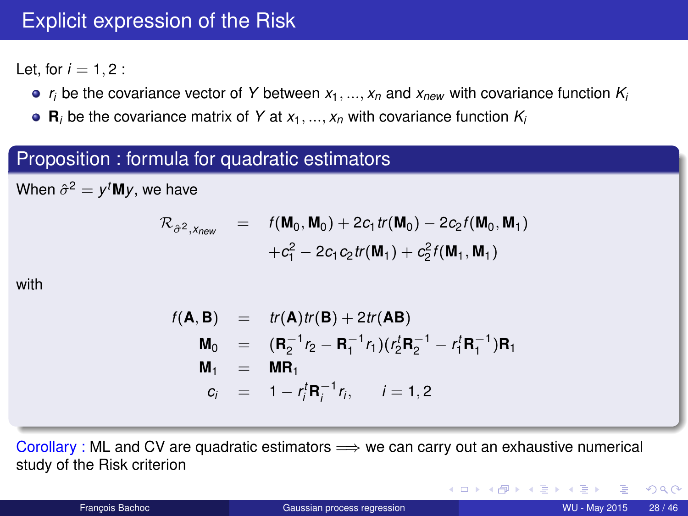### Explicit expression of the Risk

Let, for  $i = 1, 2$ :

- $r_i$  be the covariance vector of Y between  $x_1, ..., x_n$  and  $x_{new}$  with covariance function  $K_i$
- $\mathbf{R}_i$  be the covariance matrix of *Y* at  $x_1, ..., x_n$  with covariance function  $K_i$

#### Proposition : formula for quadratic estimators

When  $\hat{\sigma}^2 = y^t \mathbf{M} y$ , we have

$$
\mathcal{R}_{\hat{\sigma}^2, x_{new}} = f(\mathbf{M}_0, \mathbf{M}_0) + 2c_1 tr(\mathbf{M}_0) - 2c_2 f(\mathbf{M}_0, \mathbf{M}_1) + c_1^2 - 2c_1 c_2 tr(\mathbf{M}_1) + c_2^2 f(\mathbf{M}_1, \mathbf{M}_1)
$$

with

$$
f(\mathbf{A}, \mathbf{B}) = tr(\mathbf{A})tr(\mathbf{B}) + 2tr(\mathbf{A}\mathbf{B})
$$
  
\n
$$
\mathbf{M}_0 = (\mathbf{R}_2^{-1}r_2 - \mathbf{R}_1^{-1}r_1)(r_2^t \mathbf{R}_2^{-1} - r_1^t \mathbf{R}_1^{-1})\mathbf{R}_1
$$
  
\n
$$
\mathbf{M}_1 = \mathbf{M}\mathbf{R}_1
$$
  
\n
$$
c_i = 1 - r_i^t \mathbf{R}_i^{-1}r_i, \quad i = 1, 2
$$

Corollary : ML and CV are quadratic estimators  $\implies$  we can carry out an exhaustive numerical study of the Risk criterion

 $2Q$ 

イロメ イ母メ イヨメ イヨメ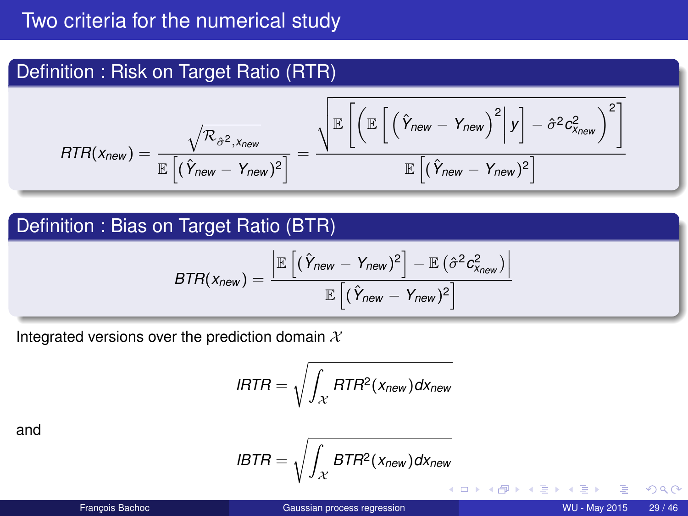### Definition : Risk on Target Ratio (RTR)

$$
\text{ATR}(x_{\text{new}}) = \frac{\sqrt{\mathcal{R}_{\hat{\sigma}^2, x_{\text{new}}}}}{\mathbb{E}\left[(\hat{Y}_{\text{new}} - Y_{\text{new}})^2\right]} = \frac{\sqrt{\mathbb{E}\left[\left(\mathbb{E}\left[\left(\hat{Y}_{\text{new}} - Y_{\text{new}}\right)^2 \middle| y\right] - \hat{\sigma}^2 c_{x_{\text{new}}}^2\right)^2\right]}}{\mathbb{E}\left[(\hat{Y}_{\text{new}} - Y_{\text{new}})^2\right]}
$$

### Definition : Bias on Target Ratio (BTR)

$$
\text{BTR}(x_{\text{new}}) = \frac{\left| \mathbb{E}\left[ (\hat{Y}_{\text{new}} - Y_{\text{new}})^2 \right] - \mathbb{E}(\hat{\sigma}^2 c_{x_{\text{new}}}^2) \right|}{\mathbb{E}\left[ (\hat{Y}_{\text{new}} - Y_{\text{new}})^2 \right]}
$$

Integrated versions over the prediction domain  $X$ 

$$
I \mathsf{HTR} = \sqrt{\int_{\mathcal{X}} \mathsf{RTR}^2(x_{\mathsf{new}}) \mathsf{dx}_{\mathsf{new}}}
$$

and

$$
IBTR = \sqrt{\int_{\mathcal{X}} BTR^2(x_{new}) dx_{new}}
$$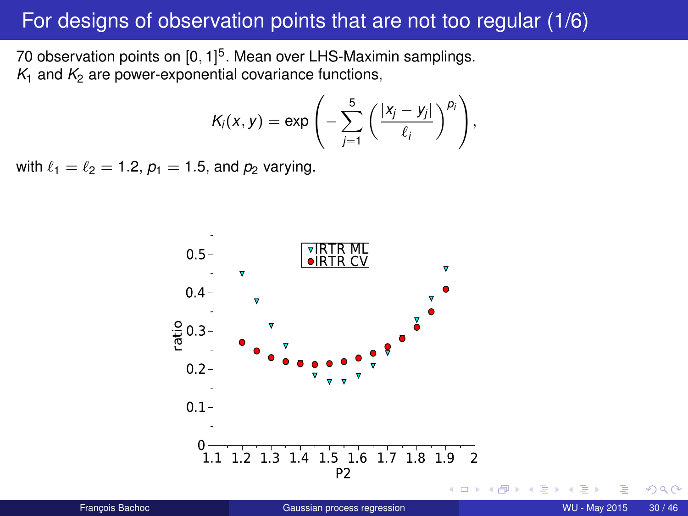### For designs of observation points that are not too regular (1/6)

70 observation points on  $[0,1]^5$ . Mean over LHS-Maximin samplings.  $K_1$  and  $K_2$  are power-exponential covariance functions,

$$
K_i(x,y) = \exp\left(-\sum_{j=1}^5 \left(\frac{|x_j-y_j|}{\ell_j}\right)^{p_j}\right),\,
$$

with  $\ell_1 = \ell_2 = 1.2$ ,  $p_1 = 1.5$ , and  $p_2$  varying.



つへへ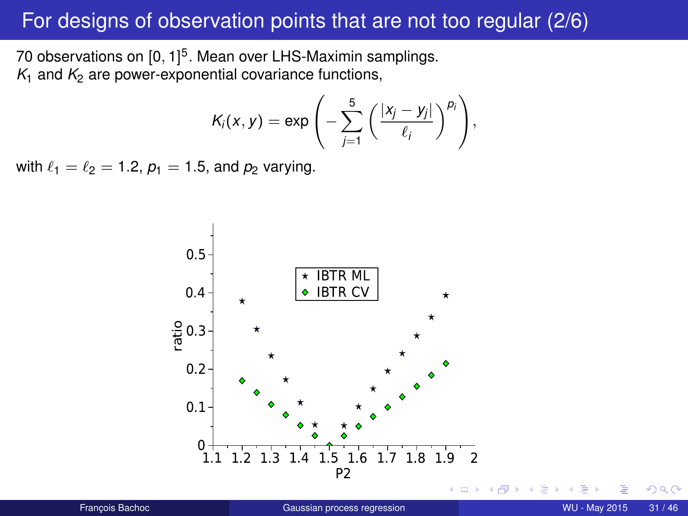### For designs of observation points that are not too regular (2/6)

70 observations on [0, 1] 5 . Mean over LHS-Maximin samplings.  $K_1$  and  $K_2$  are power-exponential covariance functions,

$$
K_i(x,y) = \exp\left(-\sum_{j=1}^5 \left(\frac{|x_j-y_j|}{\ell_j}\right)^{p_j}\right),\,
$$

with  $\ell_1 = \ell_2 = 1.2$ ,  $p_1 = 1.5$ , and  $p_2$  varying.



 $290$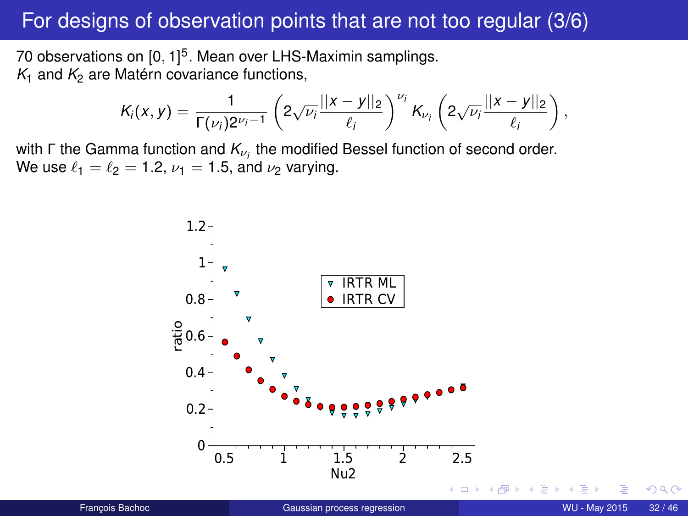### For designs of observation points that are not too regular (3/6)

70 observations on [0, 1] 5 . Mean over LHS-Maximin samplings.  $K_1$  and  $K_2$  are Matérn covariance functions,

$$
K_i(x,y) = \frac{1}{\Gamma(\nu_i)2^{\nu_i-1}} \left( 2\sqrt{\nu_i} \frac{||x-y||_2}{\ell_i} \right)^{\nu_i} K_{\nu_i} \left( 2\sqrt{\nu_i} \frac{||x-y||_2}{\ell_i} \right),
$$

with Γ the Gamma function and *K<sub>νi</sub>* the modified Bessel function of second order. We use  $\ell_1 = \ell_2 = 1.2$ ,  $\nu_1 = 1.5$ , and  $\nu_2$  varying.



つへへ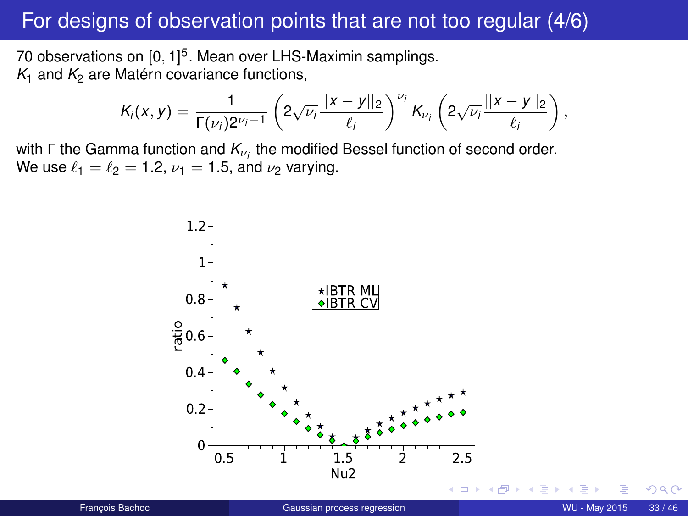### For designs of observation points that are not too regular (4/6)

70 observations on [0, 1] 5 . Mean over LHS-Maximin samplings.  $K_1$  and  $K_2$  are Matérn covariance functions,

$$
K_i(x,y) = \frac{1}{\Gamma(\nu_i)2^{\nu_i-1}} \left( 2\sqrt{\nu_i} \frac{||x-y||_2}{\ell_i} \right)^{\nu_i} K_{\nu_i} \left( 2\sqrt{\nu_i} \frac{||x-y||_2}{\ell_i} \right),
$$

with Γ the Gamma function and *K<sub>νi</sub>* the modified Bessel function of second order. We use  $\ell_1 = \ell_2 = 1.2$ ,  $\nu_1 = 1.5$ , and  $\nu_2$  varying.

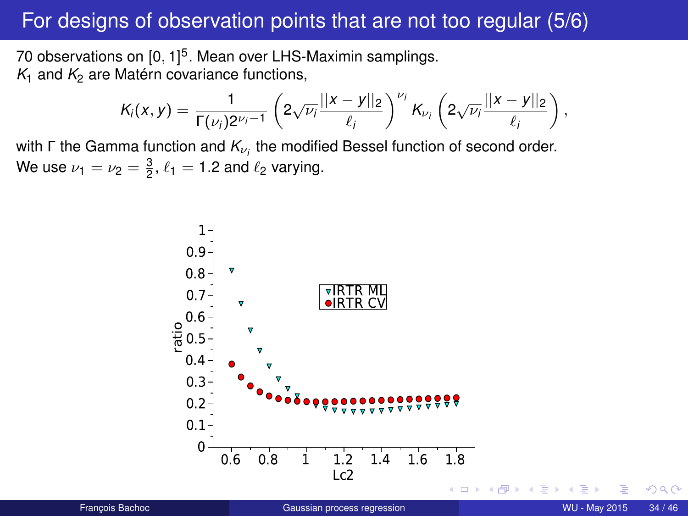### For designs of observation points that are not too regular (5/6)

70 observations on [0, 1] 5 . Mean over LHS-Maximin samplings.  $K_1$  and  $K_2$  are Matérn covariance functions,

$$
K_i(x,y) = \frac{1}{\Gamma(\nu_i)2^{\nu_i-1}} \left( 2\sqrt{\nu_i} \frac{||x-y||_2}{\ell_i} \right)^{\nu_i} K_{\nu_i} \left( 2\sqrt{\nu_i} \frac{||x-y||_2}{\ell_i} \right),
$$

with  $\Gamma$  the Gamma function and  $K_{\nu_i}$  the modified Bessel function of second order. We use  $\nu_1 = \nu_2 = \frac{3}{2}, \ell_1 = 1.2$  and  $\ell_2$  varying.

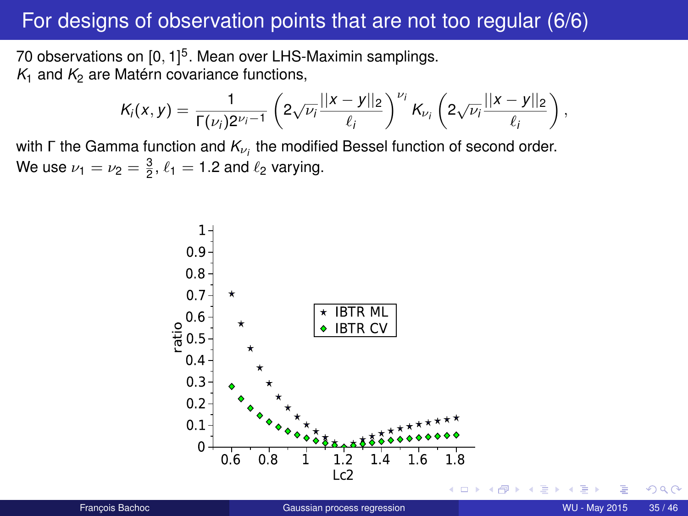### For designs of observation points that are not too regular (6/6)

70 observations on [0, 1] 5 . Mean over LHS-Maximin samplings.  $K_1$  and  $K_2$  are Matérn covariance functions,

$$
K_i(x,y) = \frac{1}{\Gamma(\nu_i)2^{\nu_i-1}} \left( 2\sqrt{\nu_i} \frac{||x-y||_2}{\ell_i} \right)^{\nu_i} K_{\nu_i} \left( 2\sqrt{\nu_i} \frac{||x-y||_2}{\ell_i} \right),
$$

with  $\Gamma$  the Gamma function and  $K_{\nu_i}$  the modified Bessel function of second order. We use  $\nu_1 = \nu_2 = \frac{3}{2}, \ell_1 = 1.2$  and  $\ell_2$  varying.



つへへ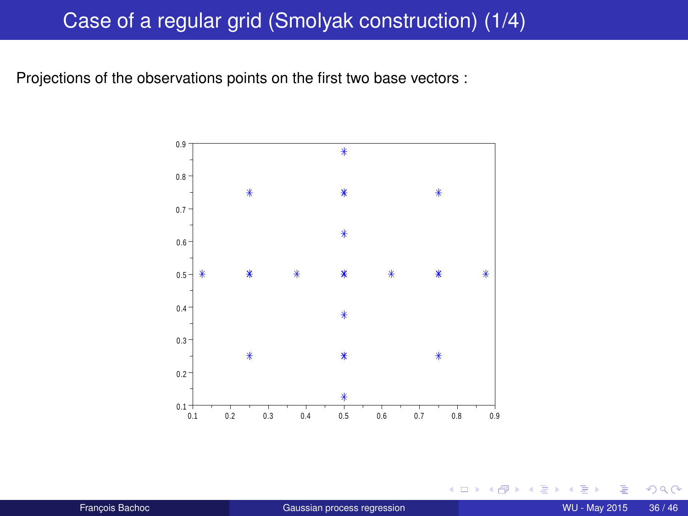### Case of a regular grid (Smolyak construction) (1/4)

Projections of the observations points on the first two base vectors :



4 0 1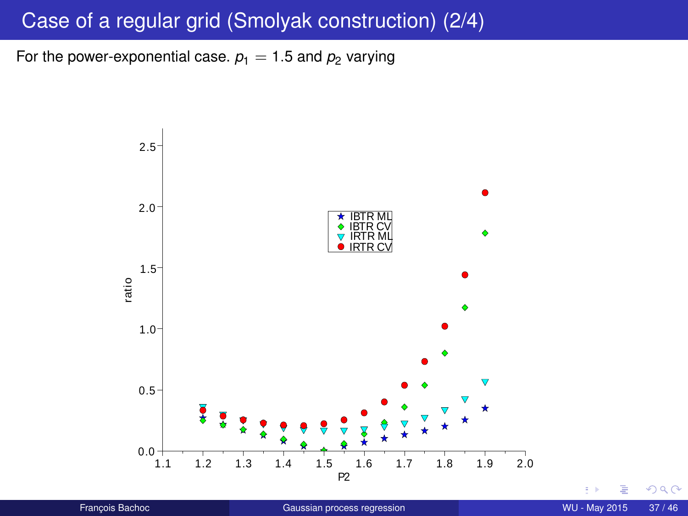# Case of a regular grid (Smolyak construction) (2/4)

For the power-exponential case.  $p_1 = 1.5$  and  $p_2$  varying



t is

 $299$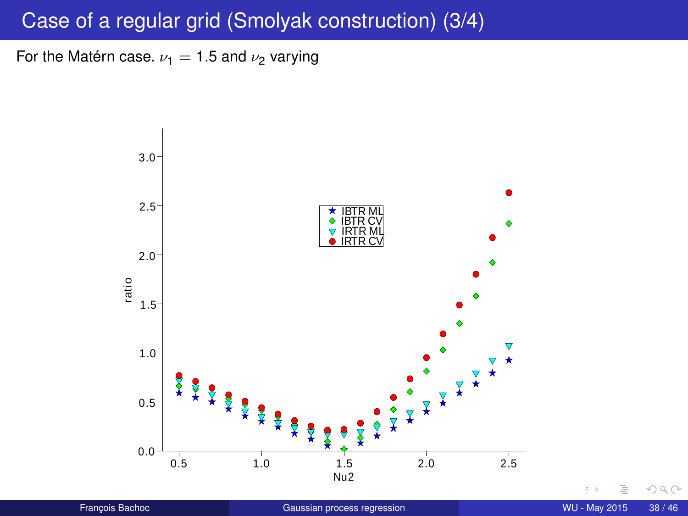## Case of a regular grid (Smolyak construction) (3/4)

For the Matérn case.  $\nu_1 = 1.5$  and  $\nu_2$  varying



t, p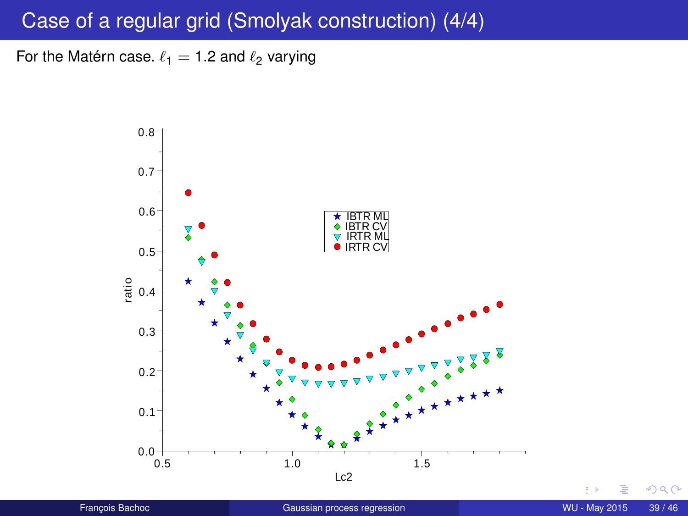## Case of a regular grid (Smolyak construction) (4/4)

For the Matérn case.  $\ell_1 = 1.2$  and  $\ell_2$  varying



i, p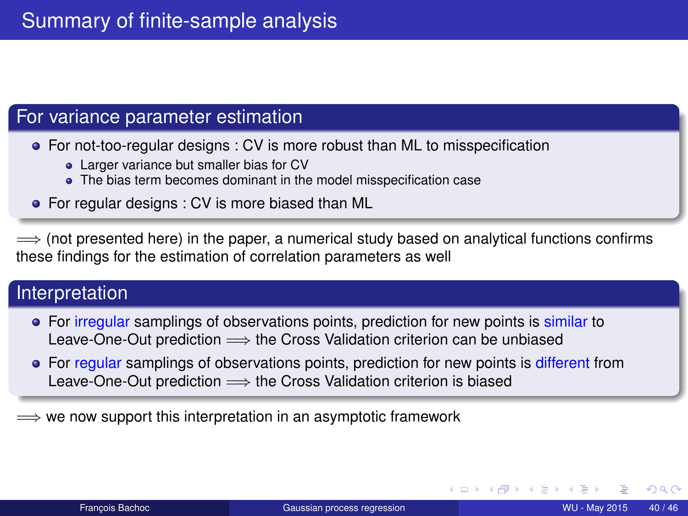#### For variance parameter estimation

For not-too-regular designs : CV is more robust than ML to misspecification

- Larger variance but smaller bias for CV
- The bias term becomes dominant in the model misspecification case
- For regular designs : CV is more biased than ML

 $\implies$  (not presented here) in the paper, a numerical study based on analytical functions confirms these findings for the estimation of correlation parameters as well

#### Interpretation

- For irregular samplings of observations points, prediction for new points is similar to Leave-One-Out prediction  $\Longrightarrow$  the Cross Validation criterion can be unbiased
- For regular samplings of observations points, prediction for new points is different from Leave-One-Out prediction  $\Longrightarrow$  the Cross Validation criterion is biased

 $\implies$  we now support this interpretation in an asymptotic framework

(□ ) (f)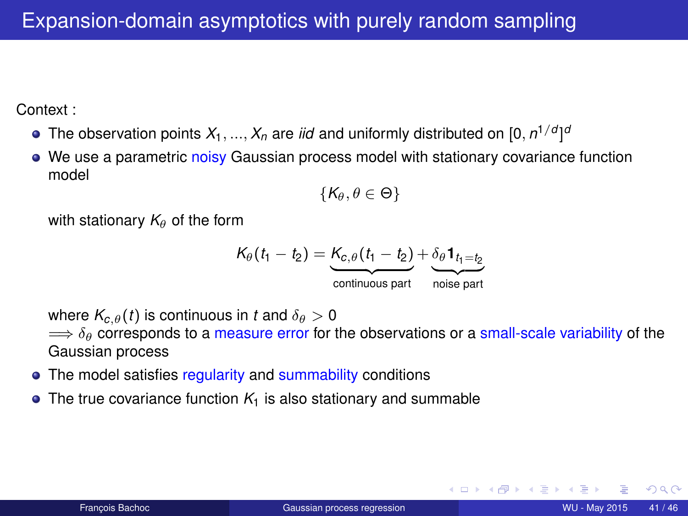Context :

- The observation points  $X_1,...,X_n$  are *iid* and uniformly distributed on  $[0,n^{1/d}]^d$
- We use a parametric noisy Gaussian process model with stationary covariance function model

$$
\{\mathsf{K}_\theta,\theta\in\Theta\}
$$

with stationary  $K_{\theta}$  of the form

$$
K_{\theta}(t_1 - t_2) = \underbrace{K_{c,\theta}(t_1 - t_2)}_{\text{continuous part}} + \underbrace{\delta_{\theta} \mathbf{1}_{t_1 = t_2}}_{\text{noise part}}
$$

where  $K_{c}$   $_{\theta}(t)$  is continuous in *t* and  $\delta_{\theta} > 0$ 

 $\Rightarrow \delta_{\theta}$  corresponds to a measure error for the observations or a small-scale variability of the Gaussian process

- The model satisfies regularity and summability conditions
- $\bullet$  The true covariance function  $K_1$  is also stationary and summable

**∢ ロ ▶ ィ 何**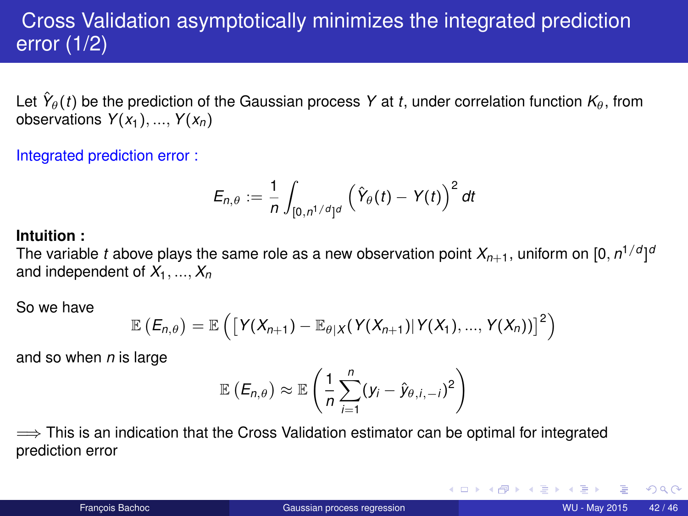# Cross Validation asymptotically minimizes the integrated prediction error (1/2)

Let  $\hat{Y}_{\theta}(t)$  be the prediction of the Gaussian process Y at  $t,$  under correlation function  $\kappa_{\theta},$  from observations  $Y(x_1), ..., Y(x_n)$ 

Integrated prediction error :

$$
E_{n,\theta}:=\frac{1}{n}\int_{[0,n^{1/d}]^d}\left(\hat{Y}_{\theta}(t)-Y(t)\right)^2dt
$$

#### **Intuition :**

The variable  $t$  above plays the same role as a new observation point  $X_{n+1}$ , uniform on  $[0,n^{1/d}]^d$ and independent of  $X_1, ..., X_n$ 

So we have

$$
\mathbb{E}\left(E_{n,\theta}\right)=\mathbb{E}\left(\left[Y(X_{n+1})-\mathbb{E}_{\theta|X}(Y(X_{n+1})|Y(X_1),...,Y(X_n))\right]^2\right)
$$

and so when *n* is large

$$
\mathbb{E}\left(E_{n,\theta}\right) \approx \mathbb{E}\left(\frac{1}{n}\sum_{i=1}^n(y_i-\hat{y}_{\theta,i,-i})^2\right)
$$

 $\implies$  This is an indication that the Cross Validation estimator can be optimal for integrated prediction error

 $QQQ$ 

K ロ ⊁ K 倒 ≯ K 走 ⊁ K 走 ⊁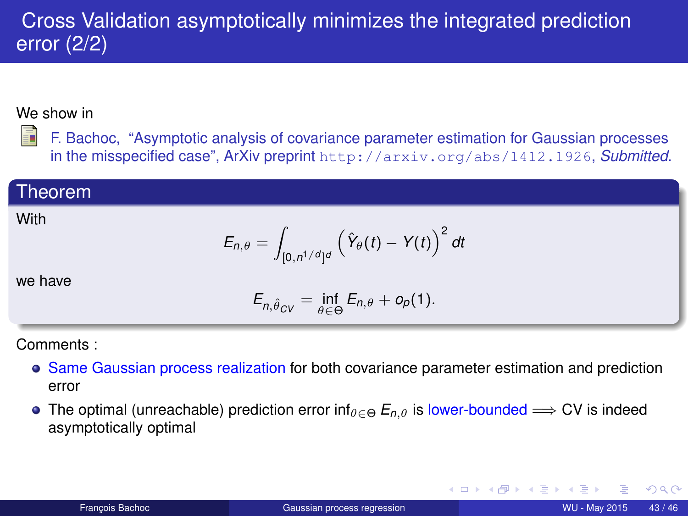# Cross Validation asymptotically minimizes the integrated prediction error (2/2)

#### We show in

F. Bachoc, "Asymptotic analysis of covariance parameter estimation for Gaussian processes in the misspecified case", ArXiv preprint <http://arxiv.org/abs/1412.1926>, *Submitted*.

#### Theorem

#### **With**

$$
E_{n,\theta} = \int_{[0,n^{1/d}]^d} \left(\hat{Y}_{\theta}(t) - Y(t)\right)^2 dt
$$

we have

$$
E_{n,\hat{\theta}_{CV}} = \inf_{\theta \in \Theta} E_{n,\theta} + o_p(1).
$$

Comments :

- Same Gaussian process realization for both covariance parameter estimation and prediction error
- The optimal (unreachable) prediction error inf $_{\theta \in \Theta} E_{n,\theta}$  is lower-bounded  $\Longrightarrow$  CV is indeed asymptotically optimal

 $QQ$ 

化重新分量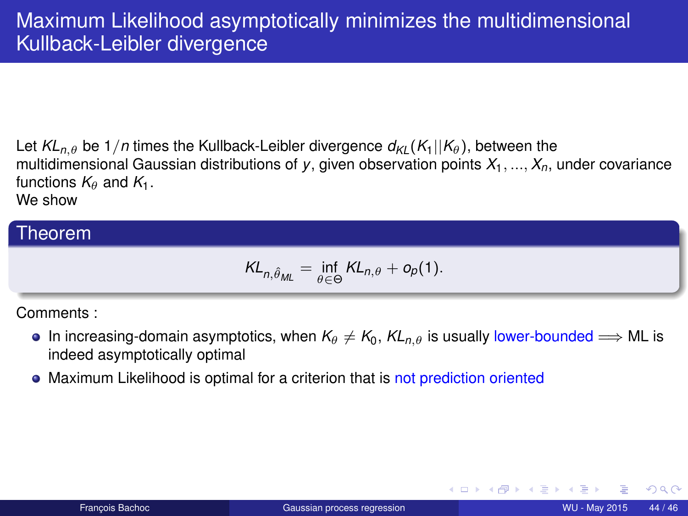Let  $KL_{n,\theta}$  be 1/*n* times the Kullback-Leibler divergence  $d_{k}(K_1||K_\theta)$ , between the multidimensional Gaussian distributions of *y*, given observation points *X*1, ..., *Xn*, under covariance functions  $K_{\theta}$  and  $K_1$ . We show

#### Theorem

$$
KL_{n,\hat{\theta}_{ML}} = \inf_{\theta \in \Theta} KL_{n,\theta} + o_p(1).
$$

Comments :

- In increasing-domain asymptotics, when  $K_{\theta} \neq K_0$ ,  $KL_{n,\theta}$  is usually lower-bounded  $\Longrightarrow$  ML is indeed asymptotically optimal
- Maximum Likelihood is optimal for a criterion that is not prediction oriented

(□ ) (f)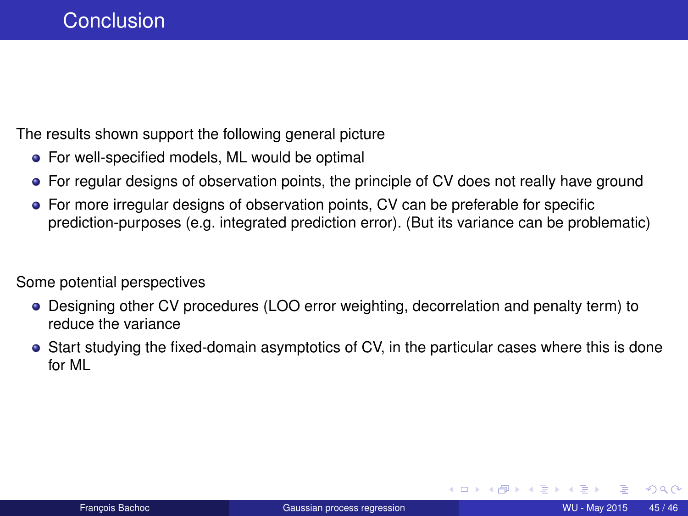The results shown support the following general picture

- **•** For well-specified models, ML would be optimal
- For regular designs of observation points, the principle of CV does not really have ground
- For more irregular designs of observation points, CV can be preferable for specific prediction-purposes (e.g. integrated prediction error). (But its variance can be problematic)

Some potential perspectives

- Designing other CV procedures (LOO error weighting, decorrelation and penalty term) to reduce the variance
- Start studying the fixed-domain asymptotics of CV, in the particular cases where this is done for ML

**∢ ロ ▶ ィ 何** 

4 B F 4 B